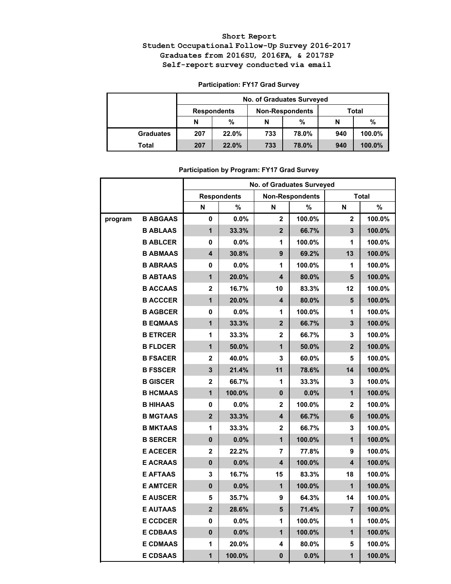## **Short Report Student Occupational Follow-Up Survey 2016-2017 Graduates from 2016SU, 2016FA, & 2017SP Self-report survey conducted via email**

## **Participation: FY17 Grad Survey**

|                  | <b>No. of Graduates Surveyed</b> |       |     |                        |       |        |  |  |
|------------------|----------------------------------|-------|-----|------------------------|-------|--------|--|--|
|                  | <b>Respondents</b>               |       |     | <b>Non-Respondents</b> | Total |        |  |  |
|                  | N                                | %     | N   | %                      | N     | %      |  |  |
| <b>Graduates</b> | 207                              | 22.0% | 733 | 78.0%                  | 940   | 100.0% |  |  |
| Total            | 207                              | 22.0% | 733 | 78.0%                  | 940   | 100.0% |  |  |

|         |                 | No. of Graduates Surveyed |                    |                         |                        |                         |              |  |  |
|---------|-----------------|---------------------------|--------------------|-------------------------|------------------------|-------------------------|--------------|--|--|
|         |                 |                           | <b>Respondents</b> |                         | <b>Non-Respondents</b> |                         | <b>Total</b> |  |  |
|         |                 | N                         | $\frac{9}{6}$      | N                       | %                      | N                       | $\%$         |  |  |
| program | <b>B ABGAAS</b> | 0                         | 0.0%               | $\mathbf 2$             | 100.0%                 | $\overline{2}$          | 100.0%       |  |  |
|         | <b>B ABLAAS</b> | $\overline{1}$            | 33.3%              | $\overline{2}$          | 66.7%                  | $\overline{\mathbf{3}}$ | 100.0%       |  |  |
|         | <b>B ABLCER</b> | 0                         | 0.0%               | 1                       | 100.0%                 | 1                       | 100.0%       |  |  |
|         | <b>B ABMAAS</b> | $\overline{\mathbf{4}}$   | 30.8%              | 9                       | 69.2%                  | 13                      | 100.0%       |  |  |
|         | <b>B ABRAAS</b> | 0                         | 0.0%               | 1                       | 100.0%                 | 1                       | 100.0%       |  |  |
|         | <b>B ABTAAS</b> | $\mathbf 1$               | 20.0%              | 4                       | 80.0%                  | 5                       | 100.0%       |  |  |
|         | <b>B ACCAAS</b> | $\mathbf{2}$              | 16.7%              | 10                      | 83.3%                  | 12                      | 100.0%       |  |  |
|         | <b>B ACCCER</b> | $\mathbf{1}$              | 20.0%              | 4                       | 80.0%                  | 5                       | 100.0%       |  |  |
|         | <b>B AGBCER</b> | 0                         | 0.0%               | 1                       | 100.0%                 | 1                       | 100.0%       |  |  |
|         | <b>B EQMAAS</b> | $\mathbf 1$               | 33.3%              | $\mathbf{2}$            | 66.7%                  | 3                       | 100.0%       |  |  |
|         | <b>B ETRCER</b> | 1                         | 33.3%              | 2                       | 66.7%                  | 3                       | 100.0%       |  |  |
|         | <b>B FLDCER</b> | $\mathbf 1$               | 50.0%              | 1                       | 50.0%                  | $\overline{2}$          | 100.0%       |  |  |
|         | <b>B FSACER</b> | 2                         | 40.0%              | 3                       | 60.0%                  | 5                       | 100.0%       |  |  |
|         | <b>B FSSCER</b> | $\overline{\mathbf{3}}$   | 21.4%              | 11                      | 78.6%                  | 14                      | 100.0%       |  |  |
|         | <b>B GISCER</b> | $\overline{\mathbf{2}}$   | 66.7%              | 1                       | 33.3%                  | 3                       | 100.0%       |  |  |
|         | <b>B HCMAAS</b> | $\overline{1}$            | 100.0%             | $\mathbf 0$             | 0.0%                   | $\mathbf{1}$            | 100.0%       |  |  |
|         | <b>B HIHAAS</b> | 0                         | $0.0\%$            | $\mathbf{2}$            | 100.0%                 | 2                       | 100.0%       |  |  |
|         | <b>B MGTAAS</b> | $\overline{\mathbf{2}}$   | 33.3%              | $\overline{\mathbf{4}}$ | 66.7%                  | 6                       | 100.0%       |  |  |
|         | <b>B MKTAAS</b> | 1                         | 33.3%              | 2                       | 66.7%                  | 3                       | 100.0%       |  |  |
|         | <b>B SERCER</b> | $\mathbf{0}$              | 0.0%               | 1                       | 100.0%                 | $\overline{1}$          | 100.0%       |  |  |
|         | <b>E ACECER</b> | $\overline{2}$            | 22.2%              | 7                       | 77.8%                  | 9                       | 100.0%       |  |  |
|         | <b>E ACRAAS</b> | $\mathbf 0$               | 0.0%               | $\overline{\mathbf{4}}$ | 100.0%                 | $\overline{\mathbf{4}}$ | 100.0%       |  |  |
|         | <b>E AFTAAS</b> | 3                         | 16.7%              | 15                      | 83.3%                  | 18                      | 100.0%       |  |  |
|         | <b>E AMTCER</b> | $\pmb{0}$                 | 0.0%               | $\mathbf 1$             | 100.0%                 | 1                       | 100.0%       |  |  |
|         | <b>E AUSCER</b> | 5                         | 35.7%              | 9                       | 64.3%                  | 14                      | 100.0%       |  |  |
|         | <b>E AUTAAS</b> | $\overline{2}$            | 28.6%              | 5                       | 71.4%                  | $\overline{7}$          | 100.0%       |  |  |
|         | <b>E CCDCER</b> | 0                         | 0.0%               | 1                       | 100.0%                 | 1                       | 100.0%       |  |  |
|         | <b>E CDBAAS</b> | $\mathbf 0$               | 0.0%               | $\mathbf{1}$            | 100.0%                 | $\overline{\mathbf{1}}$ | 100.0%       |  |  |
|         | <b>E CDMAAS</b> | 1                         | 20.0%              | 4                       | 80.0%                  | 5                       | 100.0%       |  |  |
|         | <b>E CDSAAS</b> | $\mathbf{1}$              | 100.0%             | 0                       | 0.0%                   | $\overline{1}$          | 100.0%       |  |  |

## **Participation by Program: FY17 Grad Survey**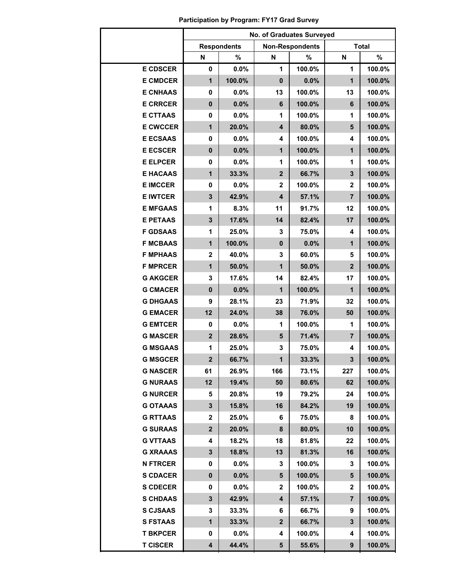|                 | No. of Graduates Surveyed |                    |                |                        |                         |              |  |  |
|-----------------|---------------------------|--------------------|----------------|------------------------|-------------------------|--------------|--|--|
|                 |                           | <b>Respondents</b> |                | <b>Non-Respondents</b> |                         | <b>Total</b> |  |  |
|                 | N                         | %                  | N              | %                      | N                       | %            |  |  |
| <b>E CDSCER</b> | 0                         | 0.0%               | 1              | 100.0%                 | 1                       | 100.0%       |  |  |
| <b>E CMDCER</b> | $\mathbf{1}$              | 100.0%             | $\mathbf 0$    | 0.0%                   | $\overline{\mathbf{1}}$ | 100.0%       |  |  |
| <b>E CNHAAS</b> | $\mathbf 0$               | $0.0\%$            | 13             | 100.0%                 | 13                      | 100.0%       |  |  |
| <b>E CRRCER</b> | $\mathbf 0$               | 0.0%               | 6              | 100.0%                 | 6                       | 100.0%       |  |  |
| <b>E CTTAAS</b> | 0                         | 0.0%               | 1              | 100.0%                 | 1                       | 100.0%       |  |  |
| <b>E CWCCER</b> | $\mathbf{1}$              | 20.0%              | 4              | 80.0%                  | $5\phantom{1}$          | 100.0%       |  |  |
| <b>E ECSAAS</b> | 0                         | 0.0%               | 4              | 100.0%                 | $\overline{\mathbf{4}}$ | 100.0%       |  |  |
| <b>E ECSCER</b> | $\mathbf 0$               | 0.0%               | $\mathbf{1}$   | 100.0%                 | $\overline{1}$          | 100.0%       |  |  |
| <b>E ELPCER</b> | 0                         | 0.0%               | 1              | 100.0%                 | 1                       | 100.0%       |  |  |
| <b>E HACAAS</b> | $\mathbf{1}$              | 33.3%              | $\overline{2}$ | 66.7%                  | $\overline{\mathbf{3}}$ | 100.0%       |  |  |
| <b>E IMCCER</b> | $\mathbf 0$               | 0.0%               | $\mathbf{2}$   | 100.0%                 | $\mathbf 2$             | 100.0%       |  |  |
| <b>E IWTCER</b> | 3                         | 42.9%              | 4              | 57.1%                  | $\overline{7}$          | 100.0%       |  |  |
| <b>E MFGAAS</b> | 1                         | 8.3%               | 11             | 91.7%                  | 12                      | 100.0%       |  |  |
| <b>E PETAAS</b> | $\mathbf{3}$              | 17.6%              | 14             | 82.4%                  | 17                      | 100.0%       |  |  |
| <b>F GDSAAS</b> | 1                         | 25.0%              | 3              | 75.0%                  | 4                       | 100.0%       |  |  |
| <b>F MCBAAS</b> | $\mathbf{1}$              | 100.0%             | $\mathbf 0$    | 0.0%                   | $\mathbf{1}$            | 100.0%       |  |  |
| <b>F MPHAAS</b> | $\overline{2}$            | 40.0%              | 3              | 60.0%                  | 5                       | 100.0%       |  |  |
| <b>F MPRCER</b> | $\mathbf{1}$              | 50.0%              | $\overline{1}$ | 50.0%                  | $\overline{2}$          | 100.0%       |  |  |
| <b>G AKGCER</b> | 3                         | 17.6%              | 14             | 82.4%                  | 17                      | 100.0%       |  |  |
| <b>G CMACER</b> | $\mathbf 0$               | 0.0%               | 1              | 100.0%                 | 1                       | 100.0%       |  |  |
| <b>G DHGAAS</b> | 9                         | 28.1%              | 23             | 71.9%                  | 32                      | 100.0%       |  |  |
| <b>G EMACER</b> | 12                        | 24.0%              | 38             | 76.0%                  | 50                      | 100.0%       |  |  |
| <b>G EMTCER</b> | 0                         | 0.0%               | 1              | 100.0%                 | 1                       | 100.0%       |  |  |
| <b>G MASCER</b> | $\overline{2}$            | 28.6%              | 5              | 71.4%                  | $\overline{7}$          | 100.0%       |  |  |
| <b>G MSGAAS</b> | 1                         | 25.0%              | 3              | 75.0%                  | 4                       | 100.0%       |  |  |
| <b>G MSGCER</b> | $\mathbf{2}$              | 66.7%              | $\mathbf 1$    | 33.3%                  | 3                       | 100.0%       |  |  |
| <b>G NASCER</b> | 61                        | 26.9%              | 166            | 73.1%                  | 227                     | 100.0%       |  |  |
| <b>G NURAAS</b> | 12                        | 19.4%              | 50             | 80.6%                  | 62                      | 100.0%       |  |  |
| <b>G NURCER</b> | 5                         | 20.8%              | 19             | 79.2%                  | 24                      | 100.0%       |  |  |
| <b>G OTAAAS</b> | 3                         | 15.8%              | 16             | 84.2%                  | 19                      | 100.0%       |  |  |
| <b>G RTTAAS</b> | 2                         | 25.0%              | 6              | 75.0%                  | 8                       | 100.0%       |  |  |
| <b>G SURAAS</b> | $\mathbf{2}$              | 20.0%              | 8              | 80.0%                  | 10                      | 100.0%       |  |  |
| <b>G VTTAAS</b> | 4                         | 18.2%              | 18             | 81.8%                  | 22                      | 100.0%       |  |  |
| <b>G XRAAAS</b> | 3                         | 18.8%              | 13             | 81.3%                  | 16                      | 100.0%       |  |  |
| <b>N FTRCER</b> | 0                         | $0.0\%$            | 3              | 100.0%                 | 3                       | 100.0%       |  |  |
| <b>S CDACER</b> | 0                         | 0.0%               | 5              | 100.0%                 | 5                       | 100.0%       |  |  |
| <b>S CDECER</b> | 0                         | $0.0\%$            | $\mathbf{2}$   | 100.0%                 | $\mathbf{2}$            | 100.0%       |  |  |
| <b>S CHDAAS</b> | 3                         | 42.9%              | 4              | 57.1%                  | 7                       | 100.0%       |  |  |
| <b>S CJSAAS</b> | 3                         | 33.3%              | 6              | 66.7%                  | 9                       | 100.0%       |  |  |
| <b>S FSTAAS</b> | 1                         | 33.3%              | $\mathbf{2}$   | 66.7%                  | 3                       | 100.0%       |  |  |
| <b>T BKPCER</b> | 0                         | $0.0\%$            | 4              | 100.0%                 | 4                       | 100.0%       |  |  |
| <b>T CISCER</b> | 4                         | 44.4%              | 5              | 55.6%                  | 9                       | 100.0%       |  |  |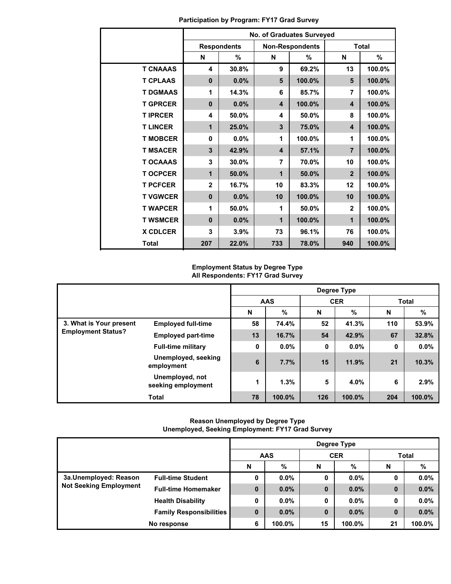|                 | No. of Graduates Surveyed |                    |     |                        |                |              |  |  |  |
|-----------------|---------------------------|--------------------|-----|------------------------|----------------|--------------|--|--|--|
|                 |                           | <b>Respondents</b> |     | <b>Non-Respondents</b> |                | <b>Total</b> |  |  |  |
|                 | N                         | %                  | N   | %                      | N              | %            |  |  |  |
| <b>T CNAAAS</b> | 4                         | 30.8%              | 9   | 69.2%                  | 13             | 100.0%       |  |  |  |
| <b>T CPLAAS</b> | $\mathbf{0}$              | 0.0%               | 5   | 100.0%                 | 5              | 100.0%       |  |  |  |
| <b>T DGMAAS</b> | 1                         | 14.3%              | 6   | 85.7%                  | 7              | 100.0%       |  |  |  |
| <b>T GPRCER</b> | $\mathbf{0}$              | $0.0\%$            | 4   | 100.0%                 | 4              | 100.0%       |  |  |  |
| <b>TIPRCER</b>  | 4                         | 50.0%              | 4   | 50.0%                  | 8              | 100.0%       |  |  |  |
| <b>T LINCER</b> | $\mathbf 1$               | 25.0%              | 3   | 75.0%                  | 4              | 100.0%       |  |  |  |
| <b>T MOBCER</b> | 0                         | 0.0%               | 1   | 100.0%                 | 1              | 100.0%       |  |  |  |
| <b>T MSACER</b> | 3                         | 42.9%              | 4   | 57.1%                  | $\overline{7}$ | 100.0%       |  |  |  |
| <b>T OCAAAS</b> | 3                         | 30.0%              | 7   | 70.0%                  | 10             | 100.0%       |  |  |  |
| <b>T OCPCER</b> | 1                         | 50.0%              | 1   | 50.0%                  | $\overline{2}$ | 100.0%       |  |  |  |
| <b>T PCFCER</b> | $\mathbf{2}$              | 16.7%              | 10  | 83.3%                  | 12             | 100.0%       |  |  |  |
| <b>T VGWCER</b> | $\mathbf{0}$              | 0.0%               | 10  | 100.0%                 | 10             | 100.0%       |  |  |  |
| <b>T WAPCER</b> | 1                         | 50.0%              | 1   | 50.0%                  | $\mathbf{2}$   | 100.0%       |  |  |  |
| <b>T WSMCER</b> | $\bf{0}$                  | 0.0%               | 1   | 100.0%                 | 1              | 100.0%       |  |  |  |
| <b>X CDLCER</b> | 3                         | 3.9%               | 73  | 96.1%                  | 76             | 100.0%       |  |  |  |
| <b>Total</b>    | 207                       | 22.0%              | 733 | 78.0%                  | 940            | 100.0%       |  |  |  |

**Participation by Program: FY17 Grad Survey**

## **Employment Status by Degree Type All Respondents: FY17 Grad Survey**

|                           |                                       | Degree Type |         |     |            |              |        |
|---------------------------|---------------------------------------|-------------|---------|-----|------------|--------------|--------|
|                           |                                       | <b>AAS</b>  |         |     | <b>CER</b> | <b>Total</b> |        |
|                           |                                       | N           | %       | N   | $\%$       | N            | %      |
| 3. What is Your present   | <b>Employed full-time</b>             | 58          | 74.4%   | 52  | 41.3%      | 110          | 53.9%  |
| <b>Employment Status?</b> | <b>Employed part-time</b>             | 13          | 16.7%   | 54  | 42.9%      | 67           | 32.8%  |
|                           | <b>Full-time military</b>             | 0           | $0.0\%$ | 0   | $0.0\%$    | 0            | 0.0%   |
|                           | Unemployed, seeking<br>employment     | 6           | 7.7%    | 15  | 11.9%      | 21           | 10.3%  |
|                           | Unemployed, not<br>seeking employment | 1           | 1.3%    | 5   | 4.0%       | 6            | 2.9%   |
|                           | <b>Total</b>                          | 78          | 100.0%  | 126 | 100.0%     | 204          | 100.0% |

### **Reason Unemployed by Degree Type Unemployed, Seeking Employment: FY17 Grad Survey**

|                               |                                | Degree Type |         |          |            |              |         |  |
|-------------------------------|--------------------------------|-------------|---------|----------|------------|--------------|---------|--|
|                               |                                | <b>AAS</b>  |         |          | <b>CER</b> | <b>Total</b> |         |  |
|                               |                                | N           | %       | N        | %          | N            | %       |  |
| 3a.Unemployed: Reason         | <b>Full-time Student</b>       | 0           | $0.0\%$ | 0        | $0.0\%$    | 0            | 0.0%    |  |
| <b>Not Seeking Employment</b> | <b>Full-time Homemaker</b>     | $\bf{0}$    | $0.0\%$ | $\bf{0}$ | $0.0\%$    | $\bf{0}$     | 0.0%    |  |
|                               | <b>Health Disability</b>       | 0           | $0.0\%$ | 0        | $0.0\%$    | 0            | $0.0\%$ |  |
|                               | <b>Family Responsibilities</b> | 0           | $0.0\%$ | $\bf{0}$ | $0.0\%$    | $\bf{0}$     | 0.0%    |  |
| No response                   |                                | 6           | 100.0%  | 15       | 100.0%     | 21           | 100.0%  |  |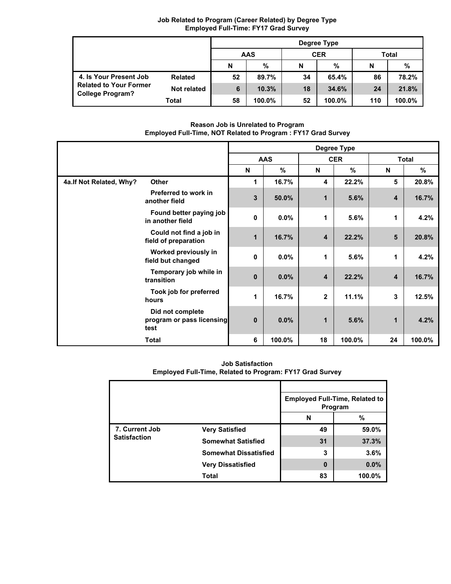|                                                   |                | Degree Type |        |    |            |     |        |  |
|---------------------------------------------------|----------------|-------------|--------|----|------------|-----|--------|--|
|                                                   |                | <b>AAS</b>  |        |    | <b>CER</b> |     | Total  |  |
|                                                   |                | N           | %      | N  | %          | N   | %      |  |
| 4. Is Your Present Job                            | <b>Related</b> | 52          | 89.7%  | 34 | 65.4%      | 86  | 78.2%  |  |
| <b>Related to Your Former</b><br>College Program? | Not related    | 6           | 10.3%  | 18 | 34.6%      | 24  | 21.8%  |  |
|                                                   | Total          | 58          | 100.0% | 52 | 100.0%     | 110 | 100.0% |  |

### **Job Related to Program (Career Related) by Degree Type Employed Full-Time: FY17 Grad Survey**

**Reason Job is Unrelated to Program Employed Full-Time, NOT Related to Program : FY17 Grad Survey**

|                          |                                                       | Degree Type |               |                  |            |    |              |  |
|--------------------------|-------------------------------------------------------|-------------|---------------|------------------|------------|----|--------------|--|
|                          |                                                       |             | <b>AAS</b>    |                  | <b>CER</b> |    | <b>Total</b> |  |
|                          |                                                       | N           | $\frac{9}{6}$ | N                | $\%$       | N  | $\%$         |  |
| 4a. If Not Related, Why? | <b>Other</b>                                          | 1           | 16.7%         | 4                | 22.2%      | 5  | 20.8%        |  |
|                          | Preferred to work in<br>another field                 | 3           | 50.0%         | 1                | 5.6%       | 4  | 16.7%        |  |
|                          | Found better paying job<br>in another field           | 0           | $0.0\%$       | 1                | 5.6%       | 1  | 4.2%         |  |
|                          | Could not find a job in<br>field of preparation       | 1           | 16.7%         | $\boldsymbol{4}$ | 22.2%      | 5  | 20.8%        |  |
|                          | Worked previously in<br>field but changed             | 0           | $0.0\%$       | 1                | 5.6%       | 1  | 4.2%         |  |
|                          | Temporary job while in<br>transition                  | $\bf{0}$    | 0.0%          | 4                | 22.2%      | 4  | 16.7%        |  |
|                          | Took job for preferred<br>hours                       | 1           | 16.7%         | $\mathbf{2}$     | 11.1%      | 3  | 12.5%        |  |
|                          | Did not complete<br>program or pass licensing<br>test | $\bf{0}$    | 0.0%          | 1                | 5.6%       | 1  | 4.2%         |  |
|                          | <b>Total</b>                                          | 6           | 100.0%        | 18               | 100.0%     | 24 | 100.0%       |  |

**Job Satisfaction Employed Full-Time, Related to Program: FY17 Grad Survey**

|                     |                              |    | <b>Employed Full-Time, Related to</b><br>Program |
|---------------------|------------------------------|----|--------------------------------------------------|
|                     |                              | N  | %                                                |
| 7. Current Job      | <b>Very Satisfied</b>        | 49 | 59.0%                                            |
| <b>Satisfaction</b> | <b>Somewhat Satisfied</b>    | 31 | 37.3%                                            |
|                     | <b>Somewhat Dissatisfied</b> | 3  | 3.6%                                             |
|                     | <b>Very Dissatisfied</b>     | 0  | 0.0%                                             |
|                     | <b>Total</b>                 | 83 | 100.0%                                           |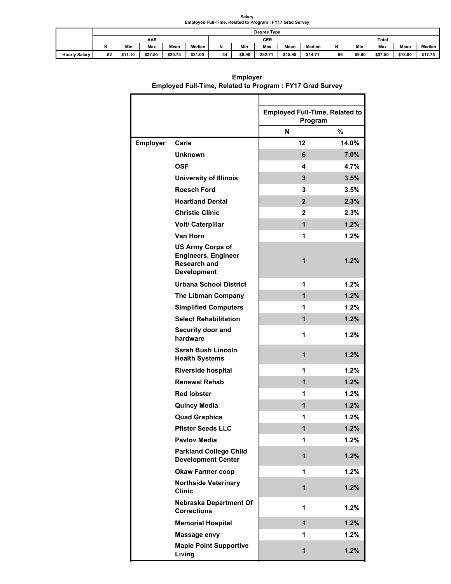# **Salary Employed Full-Time, Related to Program : FY17 Grad Survey**

|                      |    | Degree Type |         |         |         |    |        |         |         |              |    |        |         |         |         |
|----------------------|----|-------------|---------|---------|---------|----|--------|---------|---------|--------------|----|--------|---------|---------|---------|
|                      |    |             | AAS     |         |         |    | CER    |         |         | <b>Total</b> |    |        |         |         |         |
|                      |    | Min         | Max     | Mean    | Median  | N  | Min    | Max     | Mean    | Median       | N  | Min    | Max     | Mean    | Median  |
| <b>Hourly Salary</b> | 52 | \$11.10     | \$37.50 | \$20.73 | \$21.00 | 34 | \$9.90 | \$32.71 | \$15.95 | \$14.71      | 86 | \$9.90 | \$37.50 | \$18.80 | \$17.75 |

|                 |                                                                                             |                | <b>Employed Full-Time, Related to</b> |
|-----------------|---------------------------------------------------------------------------------------------|----------------|---------------------------------------|
|                 |                                                                                             |                | Program                               |
|                 |                                                                                             | N              | %                                     |
| <b>Employer</b> | Carle                                                                                       | 12             | 14.0%                                 |
|                 | <b>Unknown</b>                                                                              | 6              | 7.0%                                  |
|                 | <b>OSF</b>                                                                                  | 4              | 4.7%                                  |
|                 | <b>University of Illinois</b>                                                               | 3              | 3.5%                                  |
|                 | <b>Roesch Ford</b>                                                                          | 3              | 3.5%                                  |
|                 | <b>Heartland Dental</b>                                                                     | $\overline{2}$ | 2.3%                                  |
|                 | <b>Christie Clinic</b>                                                                      | 2              | 2.3%                                  |
|                 | <b>Volt/ Caterpillar</b>                                                                    | $\overline{1}$ | 1.2%                                  |
|                 | Van Horn                                                                                    | 1              | 1.2%                                  |
|                 | <b>US Army Corps of</b><br><b>Engineers, Engineer</b><br>Research and<br><b>Development</b> | 1              | 1.2%                                  |
|                 | <b>Urbana School District</b>                                                               | 1              | 1.2%                                  |
|                 | <b>The Libman Company</b>                                                                   | 1              | 1.2%                                  |
|                 | <b>Simplified Computers</b>                                                                 | 1              | 1.2%                                  |
|                 | <b>Select Rehabilitation</b>                                                                | 1              | 1.2%                                  |
|                 | Security door and<br>hardware                                                               | 1              | 1.2%                                  |
|                 | Sarah Bush Lincoln<br><b>Health Systems</b>                                                 | 1              | 1.2%                                  |
|                 | <b>Riverside hospital</b>                                                                   | 1              | 1.2%                                  |
|                 | <b>Renewal Rehab</b>                                                                        | 1              | 1.2%                                  |
|                 | <b>Red lobster</b>                                                                          | 1              | 1.2%                                  |
|                 | <b>Quincy Media</b>                                                                         | 1              | 1.2%                                  |
|                 | <b>Quad Graphics</b>                                                                        | 1              | 1.2%                                  |
|                 | <b>Pfister Seeds LLC</b>                                                                    | 1              | 1.2%                                  |
|                 | <b>Pavlov Media</b>                                                                         | 1              | 1.2%                                  |
|                 | <b>Parkland College Child</b><br><b>Development Center</b>                                  | 1              | 1.2%                                  |
|                 | <b>Okaw Farmer coop</b>                                                                     | 1              | 1.2%                                  |
|                 | <b>Northside Veterinary</b><br><b>Clinic</b>                                                | $\overline{1}$ | 1.2%                                  |
|                 | Nebraska Department Of<br><b>Corrections</b>                                                | 1              | 1.2%                                  |
|                 | <b>Memorial Hospital</b>                                                                    | $\overline{1}$ | 1.2%                                  |
|                 | Massage envy                                                                                | 1              | 1.2%                                  |
|                 | <b>Maple Point Supportive</b><br>Living                                                     | $\overline{1}$ | 1.2%                                  |

**Employer Employed Full-Time, Related to Program : FY17 Grad Survey**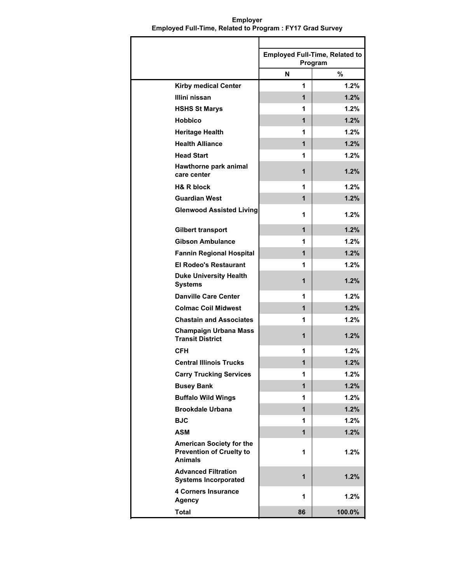**Employed Full-Time, Related to Program N % Kirby medical Center Illini nissan HSHS St Marys Hobbico Heritage Health Health Alliance Head Start Hawthorne park animal care center H& R block Guardian West Glenwood Assisted Living Gilbert transport Gibson Ambulance Fannin Regional Hospital El Rodeo's Restaurant Duke University Health Systems Danville Care Center Colmac Coil Midwest Chastain and Associates Champaign Urbana Mass Transit District CFH Central Illinois Trucks Carry Trucking Services Busey Bank Buffalo Wild Wings Brookdale Urbana BJC ASM American Society for the Prevention of Cruelty to Animals Advanced Filtration Systems Incorporated 4 Corners Insurance Agency Total 1**  $1.2\%$ **1** |  $1.2\%$ **1 1.2% 1 1.2% 1**  $1.2\%$ **1 1.2% 1**  $1.2\%$ **1** | **1.2% 1**  $1.2\%$ **1 1.2% 1 1.2% 1 1.2% 1 1.2% 1 1.2% 1 1.2% 1** | **1.2% 1**  $1.2\%$ **1 1.2% 1 1.2% 1 1.2% 1 1.2% 1 1.2% 1 1.2% 1 1.2% 1 1.2% 1 1.2% 1 1.2% 1 1.2% 1 1.2% 1** | **1.2% 1 1.2% 86 100.0%**

**Employer Employed Full-Time, Related to Program : FY17 Grad Survey**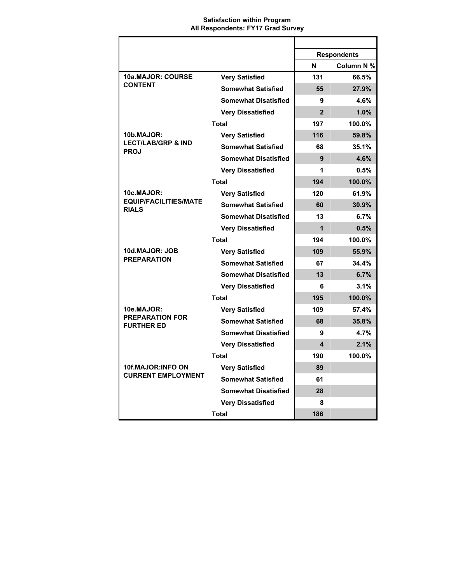### **Satisfaction within Program All Respondents: FY17 Grad Survey**

|                                                            |                             |                | <b>Respondents</b> |
|------------------------------------------------------------|-----------------------------|----------------|--------------------|
|                                                            |                             | N              | Column N %         |
| 10a.MAJOR: COURSE<br><b>CONTENT</b>                        | <b>Very Satisfied</b>       | 131            | 66.5%              |
|                                                            | <b>Somewhat Satisfied</b>   | 55             | 27.9%              |
|                                                            | <b>Somewhat Disatisfied</b> | 9              | 4.6%               |
|                                                            | <b>Very Dissatisfied</b>    | $\overline{2}$ | 1.0%               |
|                                                            | Total                       | 197            | 100.0%             |
| 10b.MAJOR:<br><b>LECT/LAB/GRP &amp; IND</b><br><b>PROJ</b> | <b>Very Satisfied</b>       | 116            | 59.8%              |
|                                                            | <b>Somewhat Satisfied</b>   | 68             | 35.1%              |
|                                                            | <b>Somewhat Disatisfied</b> | 9              | 4.6%               |
|                                                            | <b>Very Dissatisfied</b>    | 1              | 0.5%               |
|                                                            | Total                       | 194            | 100.0%             |
| 10c.MAJOR:                                                 | <b>Very Satisfied</b>       | 120            | 61.9%              |
| <b>EQUIP/FACILITIES/MATE</b><br><b>RIALS</b>               | <b>Somewhat Satisfied</b>   | 60             | 30.9%              |
|                                                            | <b>Somewhat Disatisfied</b> | 13             | 6.7%               |
|                                                            | <b>Very Dissatisfied</b>    | 1              | 0.5%               |
|                                                            | Total                       | 194            | 100.0%             |
| 10d.MAJOR: JOB                                             | <b>Very Satisfied</b>       | 109            | 55.9%              |
| <b>PREPARATION</b>                                         | <b>Somewhat Satisfied</b>   | 67             | 34.4%              |
|                                                            | <b>Somewhat Disatisfied</b> | 13             | 6.7%               |
|                                                            | <b>Very Dissatisfied</b>    | 6              | 3.1%               |
|                                                            | <b>Total</b>                | 195            | 100.0%             |
| 10e.MAJOR:                                                 | <b>Very Satisfied</b>       | 109            | 57.4%              |
| <b>PREPARATION FOR</b><br><b>FURTHER ED</b>                | <b>Somewhat Satisfied</b>   | 68             | 35.8%              |
|                                                            | <b>Somewhat Disatisfied</b> | 9              | 4.7%               |
|                                                            | <b>Very Dissatisfied</b>    | 4              | 2.1%               |
|                                                            | <b>Total</b>                | 190            | 100.0%             |
| 10f.MAJOR:INFO ON<br><b>CURRENT EMPLOYMENT</b>             | <b>Very Satisfied</b>       | 89             |                    |
|                                                            | <b>Somewhat Satisfied</b>   | 61             |                    |
|                                                            | <b>Somewhat Disatisfied</b> | 28             |                    |
|                                                            | <b>Very Dissatisfied</b>    | 8              |                    |
|                                                            | <b>Total</b>                | 186            |                    |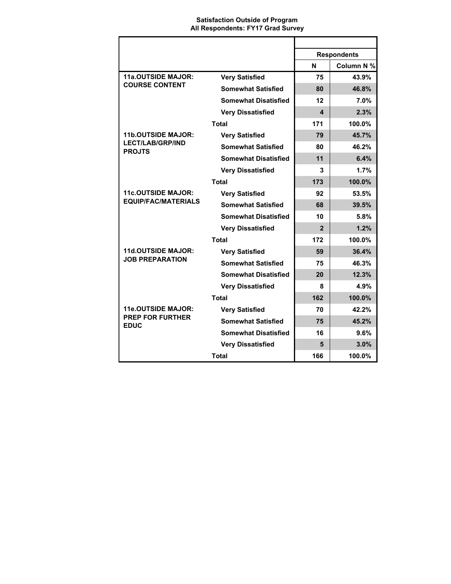### **Satisfaction Outside of Program All Respondents: FY17 Grad Survey**

|                                                                       |                             | <b>Respondents</b> |            |
|-----------------------------------------------------------------------|-----------------------------|--------------------|------------|
|                                                                       |                             | N                  | Column N % |
| <b>11a.OUTSIDE MAJOR:</b><br><b>COURSE CONTENT</b>                    | <b>Very Satisfied</b>       | 75                 | 43.9%      |
|                                                                       | <b>Somewhat Satisfied</b>   | 80                 | 46.8%      |
|                                                                       | <b>Somewhat Disatisfied</b> | 12                 | 7.0%       |
|                                                                       | <b>Very Dissatisfied</b>    | 4                  | 2.3%       |
|                                                                       | <b>Total</b>                | 171                | 100.0%     |
| <b>11b.OUTSIDE MAJOR:</b><br><b>LECT/LAB/GRP/IND</b><br><b>PROJTS</b> | <b>Very Satisfied</b>       | 79                 | 45.7%      |
|                                                                       | <b>Somewhat Satisfied</b>   | 80                 | 46.2%      |
|                                                                       | <b>Somewhat Disatisfied</b> | 11                 | 6.4%       |
|                                                                       | <b>Very Dissatisfied</b>    | 3                  | 1.7%       |
|                                                                       | <b>Total</b>                | 173                | 100.0%     |
| <b>11c.OUTSIDE MAJOR:</b>                                             | <b>Very Satisfied</b>       | 92                 | 53.5%      |
| <b>EQUIP/FAC/MATERIALS</b>                                            | <b>Somewhat Satisfied</b>   | 68                 | 39.5%      |
|                                                                       | <b>Somewhat Disatisfied</b> | 10                 | 5.8%       |
|                                                                       | <b>Very Dissatisfied</b>    | $\overline{2}$     | 1.2%       |
|                                                                       | <b>Total</b>                | 172                | 100.0%     |
| <b>11d.OUTSIDE MAJOR:</b><br><b>JOB PREPARATION</b>                   | <b>Very Satisfied</b>       | 59                 | 36.4%      |
|                                                                       | <b>Somewhat Satisfied</b>   | 75                 | 46.3%      |
|                                                                       | <b>Somewhat Disatisfied</b> | 20                 | 12.3%      |
|                                                                       | <b>Very Dissatisfied</b>    | 8                  | 4.9%       |
|                                                                       | <b>Total</b>                | 162                | 100.0%     |
| <b>11e.OUTSIDE MAJOR:</b>                                             | <b>Very Satisfied</b>       | 70                 | 42.2%      |
| <b>PREP FOR FURTHER</b><br><b>EDUC</b>                                | <b>Somewhat Satisfied</b>   | 75                 | 45.2%      |
|                                                                       | <b>Somewhat Disatisfied</b> | 16                 | 9.6%       |
|                                                                       | <b>Very Dissatisfied</b>    | 5                  | 3.0%       |
|                                                                       | <b>Total</b>                | 166                | 100.0%     |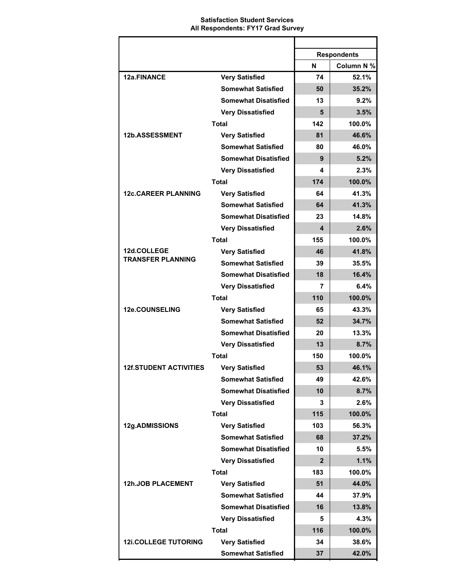### **Satisfaction Student Services All Respondents: FY17 Grad Survey**

|                               |                             | <b>Respondents</b> |            |
|-------------------------------|-----------------------------|--------------------|------------|
|                               |                             | N                  | Column N % |
| 12a.FINANCE                   | <b>Very Satisfied</b>       | 74                 | 52.1%      |
|                               | <b>Somewhat Satisfied</b>   | 50                 | 35.2%      |
|                               | <b>Somewhat Disatisfied</b> | 13                 | $9.2\%$    |
|                               | <b>Very Dissatisfied</b>    | 5                  | 3.5%       |
|                               | <b>Total</b>                | 142                | 100.0%     |
| 12b.ASSESSMENT                | <b>Very Satisfied</b>       | 81                 | 46.6%      |
|                               | <b>Somewhat Satisfied</b>   | 80                 | 46.0%      |
|                               | <b>Somewhat Disatisfied</b> | 9                  | 5.2%       |
|                               | <b>Very Dissatisfied</b>    | 4                  | 2.3%       |
|                               | <b>Total</b>                | 174                | 100.0%     |
| <b>12c.CAREER PLANNING</b>    | <b>Very Satisfied</b>       | 64                 | 41.3%      |
|                               | <b>Somewhat Satisfied</b>   | 64                 | 41.3%      |
|                               | <b>Somewhat Disatisfied</b> | 23                 | 14.8%      |
|                               | <b>Very Dissatisfied</b>    | 4                  | 2.6%       |
|                               | <b>Total</b>                | 155                | 100.0%     |
| 12d.COLLEGE                   | <b>Very Satisfied</b>       | 46                 | 41.8%      |
| <b>TRANSFER PLANNING</b>      | <b>Somewhat Satisfied</b>   | 39                 | 35.5%      |
|                               | <b>Somewhat Disatisfied</b> | 18                 | 16.4%      |
|                               | <b>Very Dissatisfied</b>    | 7                  | 6.4%       |
|                               | <b>Total</b>                | 110                | 100.0%     |
| 12e.COUNSELING                | <b>Very Satisfied</b>       | 65                 | 43.3%      |
|                               | <b>Somewhat Satisfied</b>   | 52                 | 34.7%      |
|                               | <b>Somewhat Disatisfied</b> | 20                 | 13.3%      |
|                               | <b>Very Dissatisfied</b>    | 13                 | 8.7%       |
|                               | <b>Total</b>                | 150                | 100.0%     |
| <b>12f.STUDENT ACTIVITIES</b> | Verv Satisfied              | 53                 | 46.1%      |
|                               | <b>Somewhat Satisfied</b>   | 49                 | 42.6%      |
|                               | <b>Somewhat Disatisfied</b> | 10                 | 8.7%       |
|                               | <b>Very Dissatisfied</b>    | 3                  | 2.6%       |
|                               | <b>Total</b>                | 115                | 100.0%     |
| 12g.ADMISSIONS                | <b>Very Satisfied</b>       | 103                | 56.3%      |
|                               | <b>Somewhat Satisfied</b>   | 68                 | 37.2%      |
|                               | <b>Somewhat Disatisfied</b> | 10                 | 5.5%       |
|                               | <b>Very Dissatisfied</b>    | $\mathbf{2}$       | 1.1%       |
|                               | <b>Total</b>                | 183                | 100.0%     |
| <b>12h.JOB PLACEMENT</b>      | <b>Very Satisfied</b>       | 51                 | 44.0%      |
|                               | <b>Somewhat Satisfied</b>   | 44                 | 37.9%      |
|                               | <b>Somewhat Disatisfied</b> | 16                 | 13.8%      |
|                               | <b>Very Dissatisfied</b>    | 5                  | 4.3%       |
|                               | <b>Total</b>                | 116                | 100.0%     |
| <b>12i.COLLEGE TUTORING</b>   | <b>Very Satisfied</b>       | 34                 | 38.6%      |
|                               | <b>Somewhat Satisfied</b>   | 37                 | 42.0%      |
|                               |                             |                    |            |